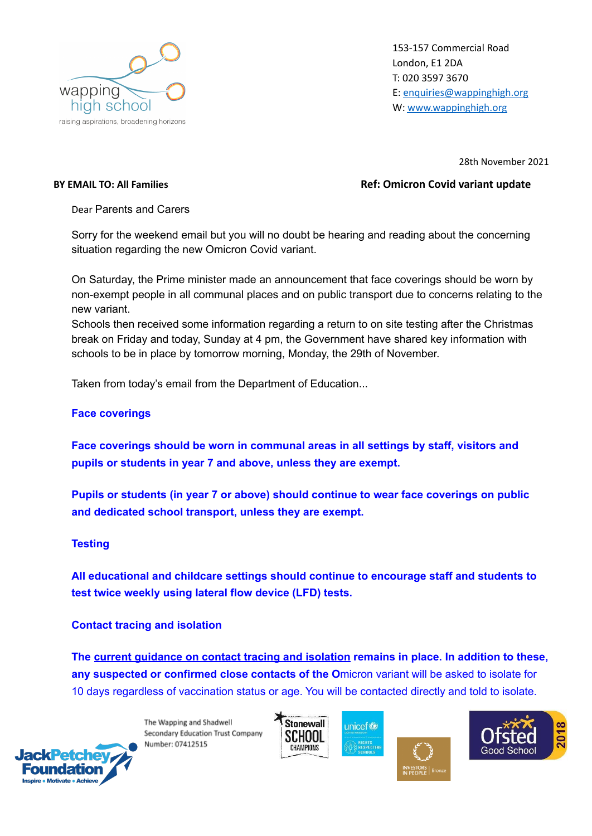

153-157 Commercial Road London, E1 2DA T: 020 3597 3670 E: [enquiries@wappinghigh.org](mailto:enquiries@wappinghigh.org) W: [www.wappinghigh.org](http://www.wappinghigh.org)

28th November 2021

## **BY EMAIL TO: All Families Ref: Omicron Covid variant update**

Dear Parents and Carers

Sorry for the weekend email but you will no doubt be hearing and reading about the concerning situation regarding the new Omicron Covid variant.

On Saturday, the Prime minister made an announcement that face coverings should be worn by non-exempt people in all communal places and on public transport due to concerns relating to the new variant.

Schools then received some information regarding a return to on site testing after the Christmas break on Friday and today, Sunday at 4 pm, the Government have shared key information with schools to be in place by tomorrow morning, Monday, the 29th of November.

Taken from today's email from the Department of Education...

## **Face coverings**

**Face coverings should be worn in communal areas in all settings by staff, visitors and pupils or students in year 7 and above, unless they are exempt.**

**Pupils or students (in year 7 or above) should continue to wear face coverings on public and dedicated school transport, unless they are exempt.**

## **Testing**

**All educational and childcare settings should continue to encourage staff and students to test twice weekly using lateral flow device (LFD) tests.**

**Contact tracing and isolation**

**The current [guidance](https://www.gov.uk/government/publications/covid-19-stay-at-home-guidance/stay-at-home-guidance-for-households-with-possible-coronavirus-covid-19-infection?utm_source=28%20November%202021%20C19&utm_medium=Daily%20Email%20C19&utm_campaign=DfE%20C19) on contact tracing and isolation remains in place. In addition to these, any suspected or confirmed close contacts of the O**micron variant will be asked to isolate for 10 days regardless of vaccination status or age. You will be contacted directly and told to isolate.

> The Wapping and Shadwell Secondary Education Trust Company Number: 07412515